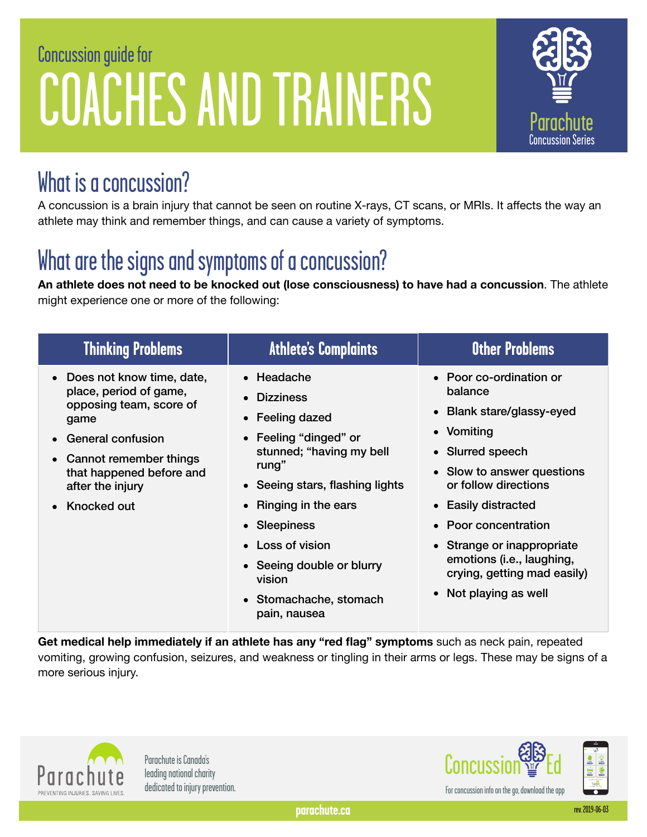# Concussion guide for COACHES AND TRAINERS



#### What is a concussion?

A concussion is a brain injury that cannot be seen on routine X-rays, CT scans, or MRIs. It affects the way an athlete may think and remember things, and can cause a variety of symptoms.

## What are the signs and symptoms of a concussion?

**An athlete does not need to be knocked out (lose consciousness) to have had a concussion**. The athlete might experience one or more of the following:

| <b>Thinking Problems</b>                                                                                                                                                                                                     | <b>Athlete's Complaints</b>                                                                                                                                                                                                                                                                                         | <b>Other Problems</b>                                                                                                                                                                                                                                                                                                                |
|------------------------------------------------------------------------------------------------------------------------------------------------------------------------------------------------------------------------------|---------------------------------------------------------------------------------------------------------------------------------------------------------------------------------------------------------------------------------------------------------------------------------------------------------------------|--------------------------------------------------------------------------------------------------------------------------------------------------------------------------------------------------------------------------------------------------------------------------------------------------------------------------------------|
| • Does not know time, date,<br>place, period of game,<br>opposing team, score of<br>game<br><b>General confusion</b><br>$\bullet$<br>• Cannot remember things<br>that happened before and<br>after the injury<br>Knocked out | • Headache<br><b>Dizziness</b><br>Feeling dazed<br>$\bullet$<br>Feeling "dinged" or<br>stunned; "having my bell<br>rung"<br>• Seeing stars, flashing lights<br><b>Ringing in the ears</b><br>• Sleepiness<br><b>Loss of vision</b><br>• Seeing double or blurry<br>vision<br>• Stomachache, stomach<br>pain, nausea | • Poor co-ordination or<br>balance<br>• Blank stare/glassy-eyed<br>• Vomiting<br>• Slurred speech<br>• Slow to answer questions<br>or follow directions<br>• Easily distracted<br>Poor concentration<br>$\bullet$<br>• Strange or inappropriate<br>emotions (i.e., laughing,<br>crying, getting mad easily)<br>• Not playing as well |

**Get medical help immediately if an athlete has any "red flag" symptoms** such as neck pain, repeated vomiting, growing confusion, seizures, and weakness or tingling in their arms or legs. These may be signs of a more serious injury.



Parachute is Canada's

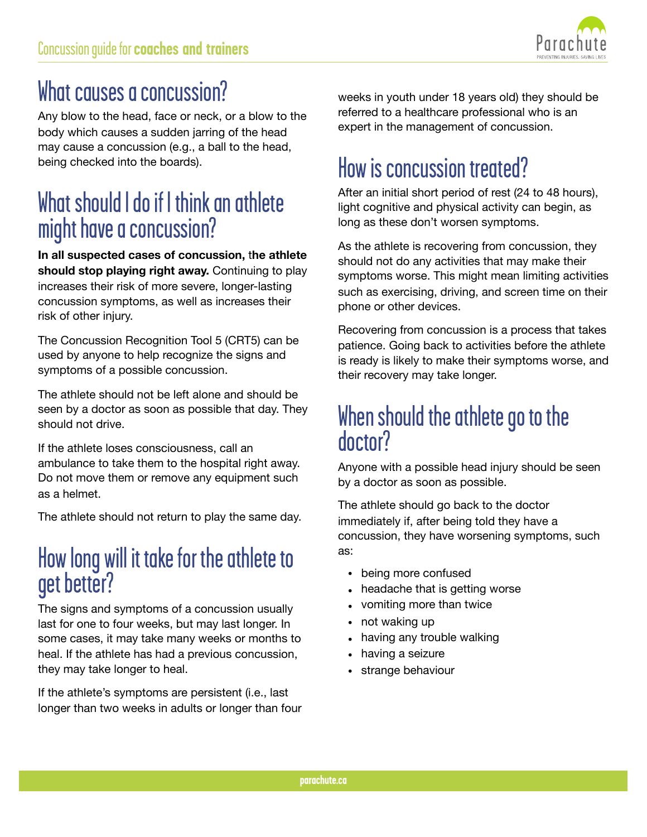

### What causes a concussion?

Any blow to the head, face or neck, or a blow to the body which causes a sudden jarring of the head may cause a concussion (e.g., a ball to the head, being checked into the boards).

#### What should I do if I think an athlete might have a concussion?

**In all suspected cases of concussion,** t**he athlete should stop playing right away.** Continuing to play increases their risk of more severe, longer-lasting concussion symptoms, as well as increases their risk of other injury.

The Concussion Recognition Tool 5 (CRT5) can be used by anyone to help recognize the signs and symptoms of a possible concussion.

The athlete should not be left alone and should be seen by a doctor as soon as possible that day. They should not drive.

If the athlete loses consciousness, call an ambulance to take them to the hospital right away. Do not move them or remove any equipment such as a helmet.

The athlete should not return to play the same day.

#### How long will it take for the athlete to get better?

The signs and symptoms of a concussion usually last for one to four weeks, but may last longer. In some cases, it may take many weeks or months to heal. If the athlete has had a previous concussion, they may take longer to heal.

If the athlete's symptoms are persistent (i.e., last longer than two weeks in adults or longer than four weeks in youth under 18 years old) they should be referred to a healthcare professional who is an expert in the management of concussion.

## How is concussion treated?

After an initial short period of rest (24 to 48 hours), light cognitive and physical activity can begin, as long as these don't worsen symptoms.

As the athlete is recovering from concussion, they should not do any activities that may make their symptoms worse. This might mean limiting activities such as exercising, driving, and screen time on their phone or other devices.

Recovering from concussion is a process that takes patience. Going back to activities before the athlete is ready is likely to make their symptoms worse, and their recovery may take longer.

#### When should the athlete go to the doctor?

Anyone with a possible head injury should be seen by a doctor as soon as possible.

The athlete should go back to the doctor immediately if, after being told they have a concussion, they have worsening symptoms, such as:

- being more confused
- headache that is getting worse
- vomiting more than twice
- not waking up
- having any trouble walking
- having a seizure
- strange behaviour